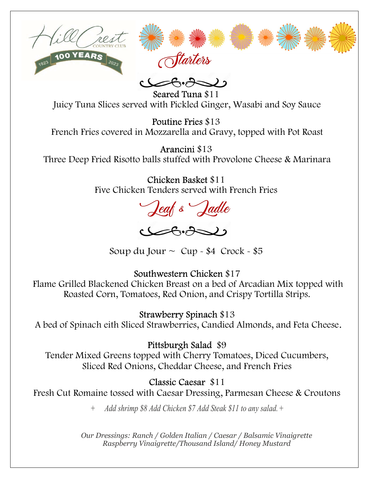

Seared Tuna \$11 Juicy Tuna Slices served with Pickled Ginger, Wasabi and Soy Sauce

Poutine Fries \$13 French Fries covered in Mozzarella and Gravy, topped with Pot Roast

Arancini \$13 Three Deep Fried Risotto balls stuffed with Provolone Cheese & Marinara

> Chicken Basket \$11 Five Chicken Tenders served with French Fries

> > Leaf & Ladle

 $2632$ 

Soup du Jour  $\sim$  Cup - \$4 Crock - \$5

Southwestern Chicken \$17

 Flame Grilled Blackened Chicken Breast on a bed of Arcadian Mix topped with Roasted Corn, Tomatoes, Red Onion, and Crispy Tortilla Strips.

Strawberry Spinach \$13

A bed of Spinach eith Sliced Strawberries, Candied Almonds, and Feta Cheese.

# Pittsburgh Salad \$9

Tender Mixed Greens topped with Cherry Tomatoes, Diced Cucumbers, Sliced Red Onions, Cheddar Cheese, and French Fries

# Classic Caesar \$11

Fresh Cut Romaine tossed with Caesar Dressing, Parmesan Cheese & Croutons

Add shrimp  $\frac{88}{\text{Add}}$  Chicken  $\frac{87}{\text{Add}}$  Steak  $\frac{811}{\text{to}}$  any salad. +

Our Dressings: Ranch / Golden Italian / Caesar / Balsamic Vinaigrette Raspberry Vinaigrette/Thousand Island/ Honey Mustard